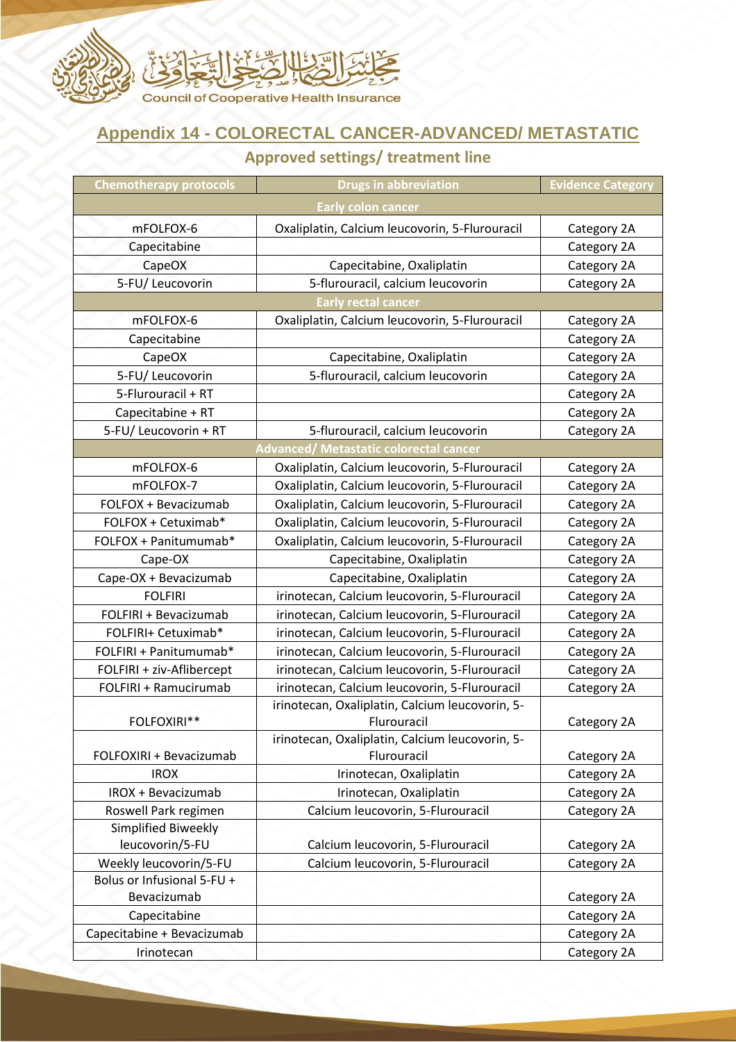

## **Appendix 14 - COLORECTAL CANCER-ADVANCED/ METASTATIC**

## **Approved settings/ treatment line**

| <b>Chemotherapy protocols</b> | <b>Drugs in abbreviation</b>                    | <b>Evidence Category</b> |
|-------------------------------|-------------------------------------------------|--------------------------|
|                               | <b>Early colon cancer</b>                       |                          |
| mFOLFOX-6                     | Oxaliplatin, Calcium leucovorin, 5-Flurouracil  | Category 2A              |
| Capecitabine                  |                                                 | Category 2A              |
| CapeOX                        | Capecitabine, Oxaliplatin                       | Category 2A              |
| 5-FU/ Leucovorin              | 5-flurouracil, calcium leucovorin               | Category 2A              |
|                               | <b>Early rectal cancer</b>                      |                          |
| mFOLFOX-6                     | Oxaliplatin, Calcium leucovorin, 5-Flurouracil  | Category 2A              |
| Capecitabine                  |                                                 | Category 2A              |
| CapeOX                        | Capecitabine, Oxaliplatin                       | Category 2A              |
| 5-FU/ Leucovorin              | 5-flurouracil, calcium leucovorin               | Category 2A              |
| 5-Flurouracil + RT            |                                                 | Category 2A              |
| Capecitabine + RT             |                                                 | Category 2A              |
| 5-FU/ Leucovorin + RT         | 5-flurouracil, calcium leucovorin               | Category 2A              |
|                               | <b>Advanced/ Metastatic colorectal cancer</b>   |                          |
| mFOLFOX-6                     | Oxaliplatin, Calcium leucovorin, 5-Flurouracil  | Category 2A              |
| mFOLFOX-7                     | Oxaliplatin, Calcium leucovorin, 5-Flurouracil  | Category 2A              |
| FOLFOX + Bevacizumab          | Oxaliplatin, Calcium leucovorin, 5-Flurouracil  | Category 2A              |
| FOLFOX + Cetuximab*           | Oxaliplatin, Calcium leucovorin, 5-Flurouracil  | Category 2A              |
| FOLFOX + Panitumumab*         | Oxaliplatin, Calcium leucovorin, 5-Flurouracil  | Category 2A              |
| Cape-OX                       | Capecitabine, Oxaliplatin                       | Category 2A              |
| Cape-OX + Bevacizumab         | Capecitabine, Oxaliplatin                       | Category 2A              |
| <b>FOLFIRI</b>                | irinotecan, Calcium leucovorin, 5-Flurouracil   | Category 2A              |
| FOLFIRI + Bevacizumab         | irinotecan, Calcium leucovorin, 5-Flurouracil   | Category 2A              |
| FOLFIRI+ Cetuximab*           | irinotecan, Calcium leucovorin, 5-Flurouracil   | Category 2A              |
| FOLFIRI + Panitumumab*        | irinotecan, Calcium leucovorin, 5-Flurouracil   | Category 2A              |
| FOLFIRI + ziv-Aflibercept     | irinotecan, Calcium leucovorin, 5-Flurouracil   | Category 2A              |
| FOLFIRI + Ramucirumab         | irinotecan, Calcium leucovorin, 5-Flurouracil   | Category 2A              |
|                               | irinotecan, Oxaliplatin, Calcium leucovorin, 5- |                          |
| FOLFOXIRI**                   | Flurouracil                                     | Category 2A              |
|                               | irinotecan, Oxaliplatin, Calcium leucovorin, 5- |                          |
| FOLFOXIRI + Bevacizumab       | Flurouracil                                     | Category 2A              |
| <b>IROX</b>                   | Irinotecan, Oxaliplatin                         | Category 2A              |
| IROX + Bevacizumab            | Irinotecan, Oxaliplatin                         | Category 2A              |
| Roswell Park regimen          | Calcium leucovorin, 5-Flurouracil               | Category 2A              |
| Simplified Biweekly           |                                                 |                          |
| leucovorin/5-FU               | Calcium leucovorin, 5-Flurouracil               | Category 2A              |
| Weekly leucovorin/5-FU        | Calcium leucovorin, 5-Flurouracil               | Category 2A              |
| Bolus or Infusional 5-FU +    |                                                 |                          |
| Bevacizumab                   |                                                 | Category 2A              |
| Capecitabine                  |                                                 | Category 2A              |
| Capecitabine + Bevacizumab    |                                                 | Category 2A              |
| Irinotecan                    |                                                 | Category 2A              |